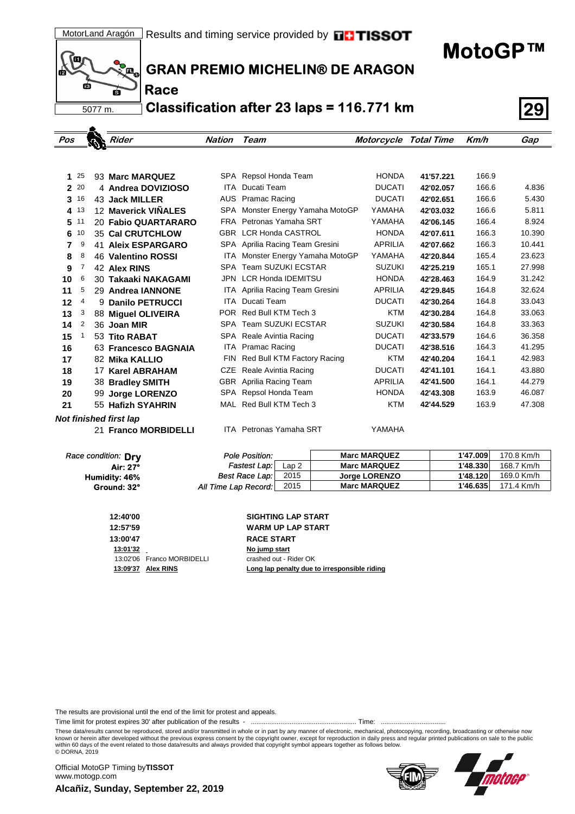**MotoGP™**



٠

**Race**

## **GRAN PREMIO MICHELIN® DE ARAGON**

**Classification after 23 laps = 116.771 km 29**

| Pos          |    | Rider                     | <b>Nation</b> | Team                            | <b>Motorcycle Total Time</b> |           | Km/h  | Gap    |
|--------------|----|---------------------------|---------------|---------------------------------|------------------------------|-----------|-------|--------|
|              |    |                           |               |                                 |                              |           |       |        |
|              |    |                           |               |                                 |                              |           |       |        |
| 1            | 25 | 93 Marc MARQUEZ           | SPA           | Repsol Honda Team               | <b>HONDA</b>                 | 41'57.221 | 166.9 |        |
| $\mathbf{2}$ | 20 | 4 Andrea DOVIZIOSO        | ITA           | Ducati Team                     | <b>DUCATI</b>                | 42'02.057 | 166.6 | 4.836  |
| 3            | 16 | 43 Jack MILLER            | <b>AUS</b>    | <b>Pramac Racing</b>            | <b>DUCATI</b>                | 42'02.651 | 166.6 | 5.430  |
| 4            | 13 | 12 Maverick VIÑALES       | SPA           | Monster Energy Yamaha MotoGP    | YAMAHA                       | 42'03.032 | 166.6 | 5.811  |
| 5            | 11 | 20 Fabio QUARTARARO       | <b>FRA</b>    | Petronas Yamaha SRT             | YAMAHA                       | 42'06.145 | 166.4 | 8.924  |
| 6            | 10 | 35 Cal CRUTCHLOW          | <b>GBR</b>    | <b>LCR Honda CASTROL</b>        | <b>HONDA</b>                 | 42'07.611 | 166.3 | 10.390 |
| 7            | 9  | <b>41 Aleix ESPARGARO</b> |               | SPA Aprilia Racing Team Gresini | <b>APRILIA</b>               | 42'07.662 | 166.3 | 10.441 |
| 8            | 8  | 46 Valentino ROSSI        | ITA           | Monster Energy Yamaha MotoGP    | YAMAHA                       | 42'20.844 | 165.4 | 23.623 |
| 9            | 7  | 42 Alex RINS              | SPA           | <b>Team SUZUKI ECSTAR</b>       | <b>SUZUKI</b>                | 42'25.219 | 165.1 | 27.998 |
| 10           | 6  | 30 Takaaki NAKAGAMI       | <b>JPN</b>    | <b>LCR Honda IDEMITSU</b>       | <b>HONDA</b>                 | 42'28.463 | 164.9 | 31.242 |
| 11           | 5  | 29 Andrea IANNONE         | ITA           | Aprilia Racing Team Gresini     | <b>APRILIA</b>               | 42'29.845 | 164.8 | 32.624 |
| 12           | 4  | 9 Danilo PETRUCCI         | ITA           | Ducati Team                     | <b>DUCATI</b>                | 42'30.264 | 164.8 | 33.043 |
| 13           | 3  | 88 Miguel OLIVEIRA        | POR.          | Red Bull KTM Tech 3             | <b>KTM</b>                   | 42'30.284 | 164.8 | 33.063 |
| 14           | 2  | 36 Joan MIR               | SPA           | <b>Team SUZUKI ECSTAR</b>       | <b>SUZUKI</b>                | 42'30.584 | 164.8 | 33.363 |
| 15           | 1  | 53 Tito RABAT             | SPA           | Reale Avintia Racing            | <b>DUCATI</b>                | 42'33.579 | 164.6 | 36.358 |
| 16           |    | 63 Francesco BAGNAIA      | ITA.          | <b>Pramac Racing</b>            | <b>DUCATI</b>                | 42'38.516 | 164.3 | 41.295 |
| 17           |    | 82 Mika KALLIO            | FIN           | Red Bull KTM Factory Racing     | <b>KTM</b>                   | 42'40.204 | 164.1 | 42.983 |
| 18           |    | 17 Karel ABRAHAM          | <b>CZE</b>    | Reale Avintia Racing            | <b>DUCATI</b>                | 42'41.101 | 164.1 | 43.880 |
| 19           |    | 38 Bradley SMITH          |               | GBR Aprilia Racing Team         | <b>APRILIA</b>               | 42'41.500 | 164.1 | 44.279 |
| 20           |    | 99 Jorge LORENZO          | SPA           | Repsol Honda Team               | <b>HONDA</b>                 | 42'43.308 | 163.9 | 46.087 |
| 21           |    | 55 Hafizh SYAHRIN         |               | MAL Red Bull KTM Tech 3         | <b>KTM</b>                   | 42'44.529 | 163.9 | 47.308 |
|              |    | Not finished first lap    |               |                                 |                              |           |       |        |
|              |    | 21 Franco MORBIDELLI      |               | <b>ITA</b> Petronas Yamaha SRT  | YAMAHA                       |           |       |        |

| 1'48.330<br><b>Marc MARQUEZ</b> | 168.7 Km/h           |
|---------------------------------|----------------------|
|                                 |                      |
| Jorge LORENZO                   | 169.0 Km/h           |
| <b>Marc MARQUEZ</b>             | 171.4 Km/h           |
|                                 | 1'48.120<br>1'46.635 |

| 12:40'00 |                            | <b>SIGHTING LAP START</b>                    |
|----------|----------------------------|----------------------------------------------|
| 12:57'59 |                            | <b>WARM UP LAP START</b>                     |
| 13:00'47 |                            | <b>RACE START</b>                            |
| 13:01'32 |                            | No jump start                                |
|          | 13:02'06 Franco MORBIDELLI | crashed out - Rider OK                       |
|          | 13:09'37 Alex RINS         | Long lap penalty due to irresponsible riding |
|          |                            |                                              |

The results are provisional until the end of the limit for protest and appeals.

Time limit for protest expires 30' after publication of the results - ......................................................... Time: ...................................

These data/results cannot be reproduced, stored and/or transmitted in whole or in part by any manner of electronic, mechanical, photocopying, recording, broadcasting or otherwise now<br>known or herein after developed without within 60 days of the event related to those data/results and always provided that copyright symbol appears together as follows below. © DORNA, 2019

**Alcañiz, Sunday, September 22, 2019** Official MotoGP Timing by **TISSOT**www.motogp.com



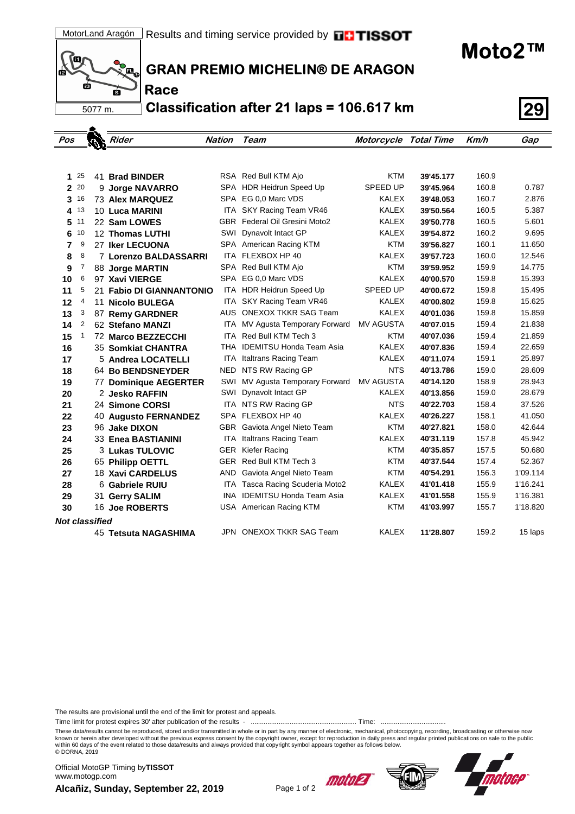**Moto2™**



**Race**

**GRAN PREMIO MICHELIN® DE ARAGON**

**Classification after 21 laps = 106.617 km 29**

| Pos                   |              |  | Rider                        | <b>Nation</b> | Team                             | <b>Motorcycle Total Time</b> |           | Km/h  | Gap      |
|-----------------------|--------------|--|------------------------------|---------------|----------------------------------|------------------------------|-----------|-------|----------|
|                       |              |  |                              |               |                                  |                              |           |       |          |
|                       |              |  |                              |               |                                  |                              |           |       |          |
| 1                     | 25           |  | 41 Brad BINDER               |               | RSA Red Bull KTM Ajo             | KTM                          | 39'45.177 | 160.9 |          |
|                       | 2 20         |  | 9 Jorge NAVARRO              |               | SPA HDR Heidrun Speed Up         | <b>SPEED UP</b>              | 39'45.964 | 160.8 | 0.787    |
| 3                     | 16           |  | <b>73 Alex MARQUEZ</b>       |               | SPA EG 0,0 Marc VDS              | <b>KALEX</b>                 | 39'48.053 | 160.7 | 2.876    |
| 4                     | 13           |  | 10 Luca MARINI               | ITA           | SKY Racing Team VR46             | <b>KALEX</b>                 | 39'50.564 | 160.5 | 5.387    |
| 5                     | 11           |  | 22 Sam LOWES                 | GBR           | Federal Oil Gresini Moto2        | <b>KALEX</b>                 | 39'50.778 | 160.5 | 5.601    |
| 6                     | 10           |  | 12 Thomas LUTHI              | SWI           | Dynavolt Intact GP               | <b>KALEX</b>                 | 39'54.872 | 160.2 | 9.695    |
| 7                     | 9            |  | 27 Iker LECUONA              |               | SPA American Racing KTM          | KTM                          | 39'56.827 | 160.1 | 11.650   |
| 8                     | 8            |  | 7 Lorenzo BALDASSARRI        | ITA           | FLEXBOX HP 40                    | <b>KALEX</b>                 | 39'57.723 | 160.0 | 12.546   |
| 9                     | 7            |  | 88 Jorge MARTIN              |               | SPA Red Bull KTM Ajo             | <b>KTM</b>                   | 39'59.952 | 159.9 | 14.775   |
| 10                    | 6            |  | 97 Xavi VIERGE               | SPA           | EG 0.0 Marc VDS                  | <b>KALEX</b>                 | 40'00.570 | 159.8 | 15.393   |
| 11                    | 5            |  | 21 Fabio DI GIANNANTONIO     |               | ITA HDR Heidrun Speed Up         | <b>SPEED UP</b>              | 40'00.672 | 159.8 | 15.495   |
| 12                    | 4            |  | 11 Nicolo BULEGA             | ITA.          | SKY Racing Team VR46             | <b>KALEX</b>                 | 40'00.802 | 159.8 | 15.625   |
| 13                    | 3            |  | 87 Remy GARDNER              | AUS.          | <b>ONEXOX TKKR SAG Team</b>      | <b>KALEX</b>                 | 40'01.036 | 159.8 | 15.859   |
| 14                    | 2            |  | 62 Stefano MANZI             | ITA.          | MV Agusta Temporary Forward      | <b>MV AGUSTA</b>             | 40'07.015 | 159.4 | 21.838   |
| 15                    | $\mathbf{1}$ |  | 72 Marco BEZZECCHI           | ITA.          | Red Bull KTM Tech 3              | KTM                          | 40'07.036 | 159.4 | 21.859   |
| 16                    |              |  | 35 Somkiat CHANTRA           |               | THA IDEMITSU Honda Team Asia     | <b>KALEX</b>                 | 40'07.836 | 159.4 | 22.659   |
| 17                    |              |  | 5 Andrea LOCATELLI           |               | <b>ITA</b> Italtrans Racing Team | <b>KALEX</b>                 | 40'11.074 | 159.1 | 25.897   |
| 18                    |              |  | 64 Bo BENDSNEYDER            |               | NED NTS RW Racing GP             | <b>NTS</b>                   | 40'13.786 | 159.0 | 28.609   |
| 19                    |              |  | <b>77 Dominique AEGERTER</b> | SWI           | MV Agusta Temporary Forward      | MV AGUSTA                    | 40'14.120 | 158.9 | 28.943   |
| 20                    |              |  | 2 Jesko RAFFIN               | SWI           | Dynavolt Intact GP               | <b>KALEX</b>                 | 40'13.856 | 159.0 | 28.679   |
| 21                    |              |  | 24 Simone CORSI              |               | ITA NTS RW Racing GP             | <b>NTS</b>                   | 40'22.703 | 158.4 | 37.526   |
| 22                    |              |  | <b>40 Augusto FERNANDEZ</b>  |               | SPA FLEXBOX HP 40                | <b>KALEX</b>                 | 40'26.227 | 158.1 | 41.050   |
| 23                    |              |  | 96 Jake DIXON                | GBR           | Gaviota Angel Nieto Team         | <b>KTM</b>                   | 40'27.821 | 158.0 | 42.644   |
| 24                    |              |  | 33 Enea BASTIANINI           | ITA           | Italtrans Racing Team            | <b>KALEX</b>                 | 40'31.119 | 157.8 | 45.942   |
| 25                    |              |  | <b>3 Lukas TULOVIC</b>       | GER           | Kiefer Racing                    | KTM                          | 40'35.857 | 157.5 | 50.680   |
| 26                    |              |  | 65 Philipp OETTL             | GER           | Red Bull KTM Tech 3              | KTM                          | 40'37.544 | 157.4 | 52.367   |
| 27                    |              |  | <b>18 Xavi CARDELUS</b>      | AND           | Gaviota Angel Nieto Team         | <b>KTM</b>                   | 40'54.291 | 156.3 | 1'09.114 |
| 28                    |              |  | 6 Gabriele RUIU              | ITA.          | Tasca Racing Scuderia Moto2      | <b>KALEX</b>                 | 41'01.418 | 155.9 | 1'16.241 |
| 29                    |              |  | 31 Gerry SALIM               |               | INA IDEMITSU Honda Team Asia     | <b>KALEX</b>                 | 41'01.558 | 155.9 | 1'16.381 |
| 30                    |              |  | 16 Joe ROBERTS               |               | USA American Racing KTM          | <b>KTM</b>                   | 41'03.997 | 155.7 | 1'18.820 |
| <b>Not classified</b> |              |  |                              |               |                                  |                              |           |       |          |
|                       |              |  | <b>45 Tetsuta NAGASHIMA</b>  |               | JPN ONEXOX TKKR SAG Team         | <b>KALEX</b>                 | 11'28.807 | 159.2 | 15 laps  |
|                       |              |  |                              |               |                                  |                              |           |       |          |

The results are provisional until the end of the limit for protest and appeals.

Time limit for protest expires 30' after publication of the results - ......................................................... Time: ...................................

These data/results cannot be reproduced, stored and/or transmitted in whole or in part by any manner of electronic, mechanical, photocopying, recording, broadcasting or otherwise now<br>known or herein after developed without within 60 days of the event related to those data/results and always provided that copyright symbol appears together as follows below. © DORNA, 2019

**Alcañiz, Sunday, September 22, 2019** Page 1 of 2 Official MotoGP Timing by **TISSOT**www.motogp.com





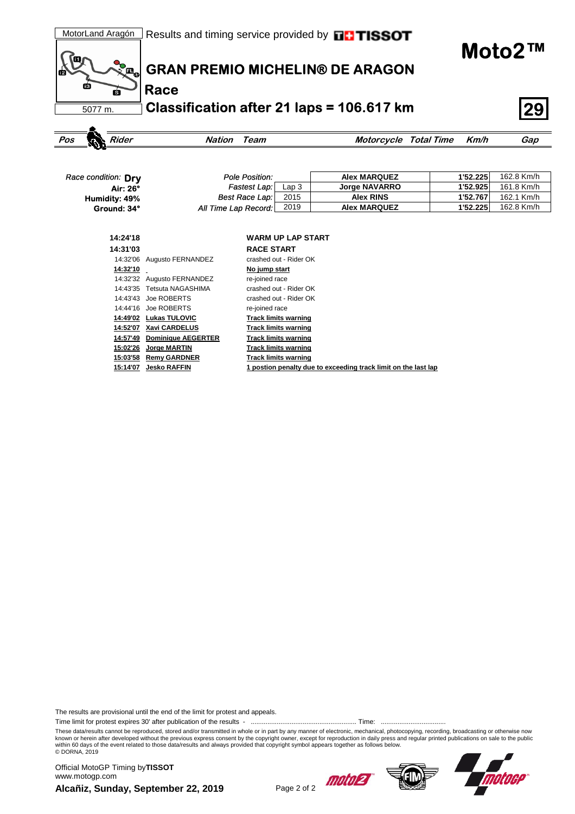**Moto2™**



**Race**

**GRAN PREMIO MICHELIN® DE ARAGON**

**Classification after 21 laps = 106.617 km 29**

| Rider<br>Pos        | Nation                     | Team                             | Motorcycle Total Time | Km/h     | Gap        |
|---------------------|----------------------------|----------------------------------|-----------------------|----------|------------|
|                     |                            |                                  |                       |          |            |
|                     |                            |                                  |                       |          |            |
| Race condition: Dry |                            | Pole Position:                   | <b>Alex MARQUEZ</b>   | 1'52.225 | 162.8 Km/h |
| Air: 26°            |                            | Fastest Lap:<br>Lap <sub>3</sub> | <b>Jorge NAVARRO</b>  | 1'52.925 | 161.8 Km/h |
| Humidity: 49%       |                            | Best Race Lap:<br>2015           | <b>Alex RINS</b>      | 1'52.767 | 162.1 Km/h |
| Ground: 34°         | All Time Lap Record:       | 2019                             | <b>Alex MARQUEZ</b>   | 1'52.225 | 162.8 Km/h |
|                     |                            |                                  |                       |          |            |
|                     |                            |                                  |                       |          |            |
| 14:24'18            |                            | <b>WARM UP LAP START</b>         |                       |          |            |
| 14:31'03            |                            | <b>RACE START</b>                |                       |          |            |
|                     | 14:32'06 Augusto FERNANDEZ | crashed out - Rider OK           |                       |          |            |
| 14:32'10            |                            | No jump start                    |                       |          |            |
| 14:32'32            | Augusto FERNANDEZ          | re-joined race                   |                       |          |            |
| 14:43'35            | Tetsuta NAGASHIMA          | crashed out - Rider OK           |                       |          |            |
| 14:43'43            | Joe ROBERTS                | crashed out - Rider OK           |                       |          |            |
| 14:44'16            | Joe ROBERTS                | re-joined race                   |                       |          |            |
| 14:49'02            | <b>Lukas TULOVIC</b>       | <b>Track limits warning</b>      |                       |          |            |
| 14:52'07            | Xavi CARDELUS              | <b>Track limits warning</b>      |                       |          |            |
| 14:57'49            | <b>Dominique AEGERTER</b>  | <b>Track limits warning</b>      |                       |          |            |
| 15:02'26            | Jorge MARTIN               | <b>Track limits warning</b>      |                       |          |            |
| 15:03'58            | <b>Remy GARDNER</b>        | <b>Track limits warning</b>      |                       |          |            |

**15:14'07 Jesko RAFFIN 1 postion penalty due to exceeding track limit on the last lap**

The results are provisional until the end of the limit for protest and appeals.

Time limit for protest expires 30' after publication of the results - ......................................................... Time: ...................................

These data/results cannot be reproduced, stored and/or transmitted in whole or in part by any manner of electronic, mechanical, photocopying, recording, broadcasting or otherwise now<br>known or herein after developed without within 60 days of the event related to those data/results and always provided that copyright symbol appears together as follows below. © DORNA, 2019

**Alcañiz, Sunday, September 22, 2019** Page 2 of 2 Official MotoGP Timing by **TISSOT**www.motogp.com





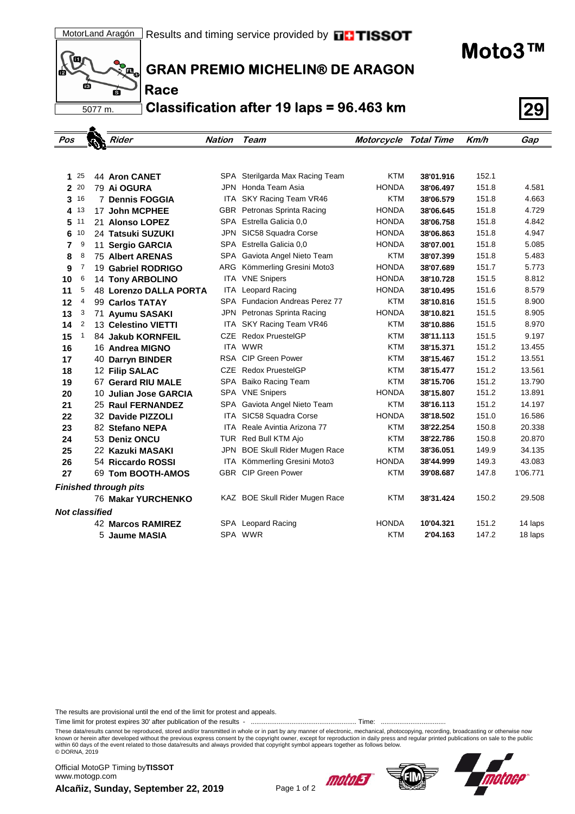(Q m пá 5077 m.

**Race**

**GRAN PREMIO MICHELIN® DE ARAGON**

**Classification after 19 laps = 96.463 km 29**

| Pos                   |    |   | Rider                         | <b>Nation</b> | Team                                | <b>Motorcycle Total Time</b> |           | Km/h  | Gap      |  |  |
|-----------------------|----|---|-------------------------------|---------------|-------------------------------------|------------------------------|-----------|-------|----------|--|--|
|                       |    |   |                               |               |                                     |                              |           |       |          |  |  |
|                       |    |   |                               |               |                                     |                              |           |       |          |  |  |
| 1                     | 25 |   | <b>44 Aron CANET</b>          | SPA           | Sterilgarda Max Racing Team         | <b>KTM</b>                   | 38'01.916 | 152.1 |          |  |  |
| $\overline{2}$        | 20 |   | 79 Ai OGURA                   |               | JPN Honda Team Asia                 | <b>HONDA</b>                 | 38'06.497 | 151.8 | 4.581    |  |  |
| 3                     | 16 |   | <b>7 Dennis FOGGIA</b>        |               | ITA SKY Racing Team VR46            | <b>KTM</b>                   | 38'06.579 | 151.8 | 4.663    |  |  |
| 4                     | 13 |   | 17 John MCPHEE                |               | GBR Petronas Sprinta Racing         | <b>HONDA</b>                 | 38'06.645 | 151.8 | 4.729    |  |  |
| 5                     | 11 |   | 21 Alonso LOPEZ               |               | SPA Estrella Galicia 0,0            | <b>HONDA</b>                 | 38'06.758 | 151.8 | 4.842    |  |  |
| 6                     | 10 |   | 24 Tatsuki SUZUKI             | JPN           | SIC58 Squadra Corse                 | <b>HONDA</b>                 | 38'06.863 | 151.8 | 4.947    |  |  |
| 7                     | 9  |   | 11 Sergio GARCIA              |               | SPA Estrella Galicia 0,0            | <b>HONDA</b>                 | 38'07.001 | 151.8 | 5.085    |  |  |
| 8                     | 8  |   | <b>75 Albert ARENAS</b>       | SPA           | Gaviota Angel Nieto Team            | <b>KTM</b>                   | 38'07.399 | 151.8 | 5.483    |  |  |
| 9                     | 7  |   | 19 Gabriel RODRIGO            | ARG           | Kömmerling Gresini Moto3            | <b>HONDA</b>                 | 38'07.689 | 151.7 | 5.773    |  |  |
| 10                    | 6  |   | 14 Tony ARBOLINO              | ITA           | <b>VNE Snipers</b>                  | <b>HONDA</b>                 | 38'10.728 | 151.5 | 8.812    |  |  |
| 11                    | 5  |   | <b>48 Lorenzo DALLA PORTA</b> | ITA           | <b>Leopard Racing</b>               | <b>HONDA</b>                 | 38'10.495 | 151.6 | 8.579    |  |  |
| 12                    | 4  |   | 99 Carlos TATAY               |               | SPA Fundacion Andreas Perez 77      | <b>KTM</b>                   | 38'10.816 | 151.5 | 8.900    |  |  |
| 13                    | 3  |   | 71 Ayumu SASAKI               | JPN           | Petronas Sprinta Racing             | <b>HONDA</b>                 | 38'10.821 | 151.5 | 8.905    |  |  |
| 14                    | 2  |   | 13 Celestino VIETTI           | ITA           | SKY Racing Team VR46                | <b>KTM</b>                   | 38'10.886 | 151.5 | 8.970    |  |  |
| 15                    | 1  |   | 84 Jakub KORNFEIL             |               | CZE Redox PruestelGP                | <b>KTM</b>                   | 38'11.113 | 151.5 | 9.197    |  |  |
| 16                    |    |   | 16 Andrea MIGNO               |               | ITA WWR                             | <b>KTM</b>                   | 38'15.371 | 151.2 | 13.455   |  |  |
| 17                    |    |   | 40 Darryn BINDER              |               | RSA CIP Green Power                 | <b>KTM</b>                   | 38'15.467 | 151.2 | 13.551   |  |  |
| 18                    |    |   | 12 Filip SALAC                |               | CZE Redox PruestelGP                | <b>KTM</b>                   | 38'15.477 | 151.2 | 13.561   |  |  |
| 19                    |    |   | 67 Gerard RIU MALE            |               | SPA Baiko Racing Team               | <b>KTM</b>                   | 38'15.706 | 151.2 | 13.790   |  |  |
| 20                    |    |   | 10 Julian Jose GARCIA         |               | SPA VNE Snipers                     | <b>HONDA</b>                 | 38'15.807 | 151.2 | 13.891   |  |  |
| 21                    |    |   | <b>25 Raul FERNANDEZ</b>      | SPA           | Gaviota Angel Nieto Team            | <b>KTM</b>                   | 38'16.113 | 151.2 | 14.197   |  |  |
| 22                    |    |   | 32 Davide PIZZOLI             |               | ITA SIC58 Squadra Corse             | <b>HONDA</b>                 | 38'18.502 | 151.0 | 16.586   |  |  |
| 23                    |    |   | 82 Stefano NEPA               |               | <b>ITA</b> Reale Avintia Arizona 77 | <b>KTM</b>                   | 38'22.254 | 150.8 | 20.338   |  |  |
| 24                    |    |   | 53 Deniz ONCU                 |               | TUR Red Bull KTM Ajo                | <b>KTM</b>                   | 38'22.786 | 150.8 | 20.870   |  |  |
| 25                    |    |   | 22 Kazuki MASAKI              |               | JPN BOE Skull Rider Mugen Race      | <b>KTM</b>                   | 38'36.051 | 149.9 | 34.135   |  |  |
| 26                    |    |   | 54 Riccardo ROSSI             |               | ITA Kömmerling Gresini Moto3        | <b>HONDA</b>                 | 38'44.999 | 149.3 | 43.083   |  |  |
| 27                    |    |   | 69 Tom BOOTH-AMOS             |               | <b>GBR</b> CIP Green Power          | <b>KTM</b>                   | 39'08.687 | 147.8 | 1'06.771 |  |  |
|                       |    |   | <b>Finished through pits</b>  |               |                                     |                              |           |       |          |  |  |
|                       |    |   | <b>76 Makar YURCHENKO</b>     |               | KAZ BOE Skull Rider Mugen Race      | <b>KTM</b>                   | 38'31.424 | 150.2 | 29.508   |  |  |
| <b>Not classified</b> |    |   |                               |               |                                     |                              |           |       |          |  |  |
|                       |    |   | <b>42 Marcos RAMIREZ</b>      |               | SPA Leopard Racing                  | <b>HONDA</b>                 | 10'04.321 | 151.2 | 14 laps  |  |  |
|                       |    | 5 | Jaume MASIA                   |               | SPA WWR                             | <b>KTM</b>                   | 2'04.163  | 147.2 | 18 laps  |  |  |

The results are provisional until the end of the limit for protest and appeals.

Time limit for protest expires 30' after publication of the results - ......................................................... Time: ...................................

These data/results cannot be reproduced, stored and/or transmitted in whole or in part by any manner of electronic, mechanical, photocopying, recording, broadcasting or otherwise now<br>known or herein after developed without within 60 days of the event related to those data/results and always provided that copyright symbol appears together as follows below. © DORNA, 2019

**Alcañiz, Sunday, September 22, 2019** Page 1 of 2 Official MotoGP Timing by **TISSOT**www.motogp.com





**Moto3™**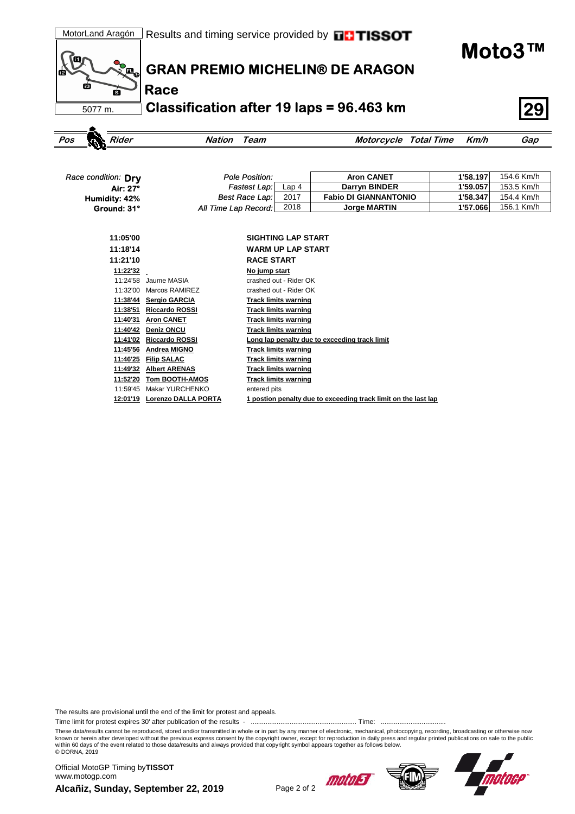**Moto3™**



**Race**

**GRAN PREMIO MICHELIN® DE ARAGON**

**Classification after 19 laps = 96.463 km 29**

| Rider<br>Pos        | <b>Nation</b><br>Team      |                             | <b>Motorcycle Total Time</b>                                   | Km/h     | Gap        |
|---------------------|----------------------------|-----------------------------|----------------------------------------------------------------|----------|------------|
|                     |                            |                             |                                                                |          |            |
|                     |                            |                             |                                                                |          |            |
| Race condition: Dry | <b>Pole Position:</b>      |                             | <b>Aron CANET</b>                                              | 1'58.197 | 154.6 Km/h |
| Air: 27°            | Fastest Lap:               | Lap <sub>4</sub>            | Darryn BINDER                                                  | 1'59.057 | 153.5 Km/h |
| Humidity: 42%       | Best Race Lap:             | 2017                        | <b>Fabio DI GIANNANTONIO</b>                                   | 1'58.347 | 154.4 Km/h |
| Ground: 31°         | All Time Lap Record:       | 2018                        | <b>Jorge MARTIN</b>                                            | 1'57.066 | 156.1 Km/h |
|                     |                            |                             |                                                                |          |            |
|                     |                            |                             |                                                                |          |            |
| 11:05'00            |                            | <b>SIGHTING LAP START</b>   |                                                                |          |            |
| 11:18'14            |                            | <b>WARM UP LAP START</b>    |                                                                |          |            |
| 11:21'10            |                            | <b>RACE START</b>           |                                                                |          |            |
| 11:22'32            |                            | No jump start               |                                                                |          |            |
| 11:24'58            | Jaume MASIA                | crashed out - Rider OK      |                                                                |          |            |
| 11:32'00            | Marcos RAMIREZ             | crashed out - Rider OK      |                                                                |          |            |
| 11:38'44            | <b>Sergio GARCIA</b>       | <b>Track limits warning</b> |                                                                |          |            |
| 11:38'51            | <b>Riccardo ROSSI</b>      | <b>Track limits warning</b> |                                                                |          |            |
| 11:40'31            | <b>Aron CANET</b>          | <b>Track limits warning</b> |                                                                |          |            |
| 11:40'42            | <b>Deniz ONCU</b>          | <b>Track limits warning</b> |                                                                |          |            |
| 11:41'02            | <b>Riccardo ROSSI</b>      |                             | Long lap penalty due to exceeding track limit                  |          |            |
| 11:45'56            | <b>Andrea MIGNO</b>        | <b>Track limits warning</b> |                                                                |          |            |
| 11:46'25            | <b>Filip SALAC</b>         | <b>Track limits warning</b> |                                                                |          |            |
| 11:49'32            | <b>Albert ARENAS</b>       | <b>Track limits warning</b> |                                                                |          |            |
| 11:52'20            | Tom BOOTH-AMOS             | <b>Track limits warning</b> |                                                                |          |            |
| 11:59'45            | <b>Makar YURCHENKO</b>     | entered pits                |                                                                |          |            |
| 12:01'19            | <b>Lorenzo DALLA PORTA</b> |                             | 1 postion penalty due to exceeding track limit on the last lap |          |            |

The results are provisional until the end of the limit for protest and appeals.

Time limit for protest expires 30' after publication of the results - ......................................................... Time: ...................................

These data/results cannot be reproduced, stored and/or transmitted in whole or in part by any manner of electronic, mechanical, photocopying, recording, broadcasting or otherwise now<br>known or herein after developed without within 60 days of the event related to those data/results and always provided that copyright symbol appears together as follows below. © DORNA, 2019

Alcañiz, Sunday, September 22, 2019<br>Page 2 of 2 Official MotoGP Timing by **TISSOT**www.motogp.com



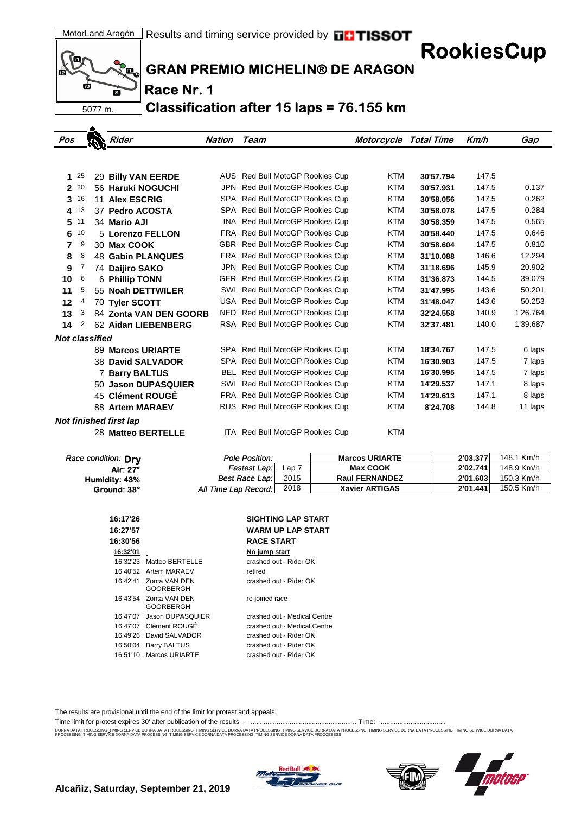**RookiesCup**



 $\blacktriangle$ 

**GRAN PREMIO MICHELIN® DE ARAGON**

**Race Nr. 1**

**Classification after 15 laps = 76.155 km**

| Pos                   |                    | Rider                         | Nation | Team                            | <b>Motorcycle Total Time</b> |           | Km/h  | Gap      |
|-----------------------|--------------------|-------------------------------|--------|---------------------------------|------------------------------|-----------|-------|----------|
|                       |                    |                               |        |                                 |                              |           |       |          |
|                       |                    |                               |        |                                 |                              |           |       |          |
| 1                     | 25                 | 29 Billy VAN EERDE            |        | AUS Red Bull MotoGP Rookies Cup | <b>KTM</b>                   | 30'57.794 | 147.5 |          |
|                       | 2 20               | 56 Haruki NOGUCHI             |        | JPN Red Bull MotoGP Rookies Cup | <b>KTM</b>                   | 30'57.931 | 147.5 | 0.137    |
| 3                     | 16                 | 11 Alex ESCRIG                |        | SPA Red Bull MotoGP Rookies Cup | <b>KTM</b>                   | 30'58.056 | 147.5 | 0.262    |
|                       | 4 13               | 37 Pedro ACOSTA               |        | SPA Red Bull MotoGP Rookies Cup | <b>KTM</b>                   | 30'58.078 | 147.5 | 0.284    |
|                       | $5^{\frac{11}{2}}$ | 34 Mario AJI                  |        | INA Red Bull MotoGP Rookies Cup | <b>KTM</b>                   | 30'58.359 | 147.5 | 0.565    |
| 6                     | 10                 | 5 Lorenzo FELLON              |        | FRA Red Bull MotoGP Rookies Cup | <b>KTM</b>                   | 30'58.440 | 147.5 | 0.646    |
| 7                     | 9                  | 30 Max COOK                   |        | GBR Red Bull MotoGP Rookies Cup | <b>KTM</b>                   | 30'58.604 | 147.5 | 0.810    |
| 8                     | 8                  | <b>48 Gabin PLANQUES</b>      |        | FRA Red Bull MotoGP Rookies Cup | <b>KTM</b>                   | 31'10.088 | 146.6 | 12.294   |
| 9                     | 7                  | 74 Dailiro SAKO               |        | JPN Red Bull MotoGP Rookies Cup | <b>KTM</b>                   | 31'18.696 | 145.9 | 20.902   |
| 10                    | 6                  | 6 Phillip TONN                |        | GER Red Bull MotoGP Rookies Cup | <b>KTM</b>                   | 31'36.873 | 144.5 | 39.079   |
| 11                    | 5                  | 55 Noah DETTWILER             |        | SWI Red Bull MotoGP Rookies Cup | <b>KTM</b>                   | 31'47.995 | 143.6 | 50.201   |
| 12                    | 4                  | 70 Tyler SCOTT                |        | USA Red Bull MotoGP Rookies Cup | <b>KTM</b>                   | 31'48.047 | 143.6 | 50.253   |
| 13                    | 3                  | 84 Zonta VAN DEN GOORB        | NED    | Red Bull MotoGP Rookies Cup     | <b>KTM</b>                   | 32'24.558 | 140.9 | 1'26.764 |
| 14                    | 2                  | 62 Aidan LIEBENBERG           |        | RSA Red Bull MotoGP Rookies Cup | <b>KTM</b>                   | 32'37.481 | 140.0 | 1'39.687 |
| <b>Not classified</b> |                    |                               |        |                                 |                              |           |       |          |
|                       |                    | 89 Marcos URIARTE             |        | SPA Red Bull MotoGP Rookies Cup | <b>KTM</b>                   | 18'34.767 | 147.5 | 6 laps   |
|                       |                    | 38 David SALVADOR             |        | SPA Red Bull MotoGP Rookies Cup | <b>KTM</b>                   | 16'30.903 | 147.5 | 7 laps   |
|                       |                    | 7 Barry BALTUS                |        | BEL Red Bull MotoGP Rookies Cup | <b>KTM</b>                   | 16'30.995 | 147.5 | 7 laps   |
|                       |                    | 50 Jason DUPASQUIER           |        | SWI Red Bull MotoGP Rookies Cup | <b>KTM</b>                   | 14'29.537 | 147.1 | 8 laps   |
|                       |                    | 45 Clément ROUGÉ              |        | FRA Red Bull MotoGP Rookies Cup | <b>KTM</b>                   | 14'29.613 | 147.1 | 8 laps   |
|                       |                    | 88 Artem MARAEV               |        | RUS Red Bull MotoGP Rookies Cup | <b>KTM</b>                   | 8'24.708  | 144.8 | 11 laps  |
|                       |                    | <b>Not finished first lap</b> |        |                                 |                              |           |       |          |
|                       |                    | 28 Matteo BERTELLE            |        | ITA Red Bull MotoGP Rookies Cup | <b>KTM</b>                   |           |       |          |

| Race condition: Dry | Pole Position:        |         | <b>Marcos URIARTE</b> | 2'03.377 | 148.1 Km/h |
|---------------------|-----------------------|---------|-----------------------|----------|------------|
| Air: 27°            | Fastest Lap:          | Lap $7$ | <b>Max COOK</b>       | 2'02.741 | 148.9 Km/h |
| Humidity: 43%       | <b>Best Race Lap:</b> | 2015    | <b>Raul FERNANDEZ</b> | 2'01.603 | 150.3 Km/h |
| Ground: 38°         | All Time Lap Record:  | 2018    | <b>Xavier ARTIGAS</b> | 2'01.441 | 150.5 Km/h |

| 16:17'26 |                                            | <b>SIGHTING LAP START</b>    |
|----------|--------------------------------------------|------------------------------|
| 16:27'57 |                                            | <b>WARM UP LAP START</b>     |
| 16:30'56 |                                            | <b>RACE START</b>            |
| 16:32'01 |                                            | No jump start                |
| 16:32'23 | Matteo BERTELLE                            | crashed out - Rider OK       |
|          | 16:40'52 Artem MARAEV                      | retired                      |
|          | 16:42'41 Zonta VAN DEN<br><b>GOORBERGH</b> | crashed out - Rider OK       |
|          | 16:43'54 Zonta VAN DEN<br>GOORBERGH        | re-joined race               |
|          | 16:47'07 Jason DUPASQUIER                  | crashed out - Medical Centre |
|          | 16:47'07 Clément ROUGE                     | crashed out - Medical Centre |
|          | 16:49'26 David SAI VADOR                   | crashed out - Rider OK       |
|          | 16:50'04 Barry BALTUS                      | crashed out - Rider OK       |
|          | 16:51'10 Marcos URIARTE                    | crashed out - Rider OK       |
|          |                                            |                              |

The results are provisional until the end of the limit for protest and appeals.

Time limit for protest expires 30' after publication of the results - ......................................................... Time: ...................................

DORNA DATA PROCESSING. TIMING SERVICE DORNA DATA PROCESSING TIMING SERVICE DORNA DRA TIMING SERVICE DORNA DATA PROCESSING TIMING SERVICE DORNA DATA PROCESSING TIMING SERVICE DORNA DATA PROCESSING TIMING SERVICE DORNA DATA